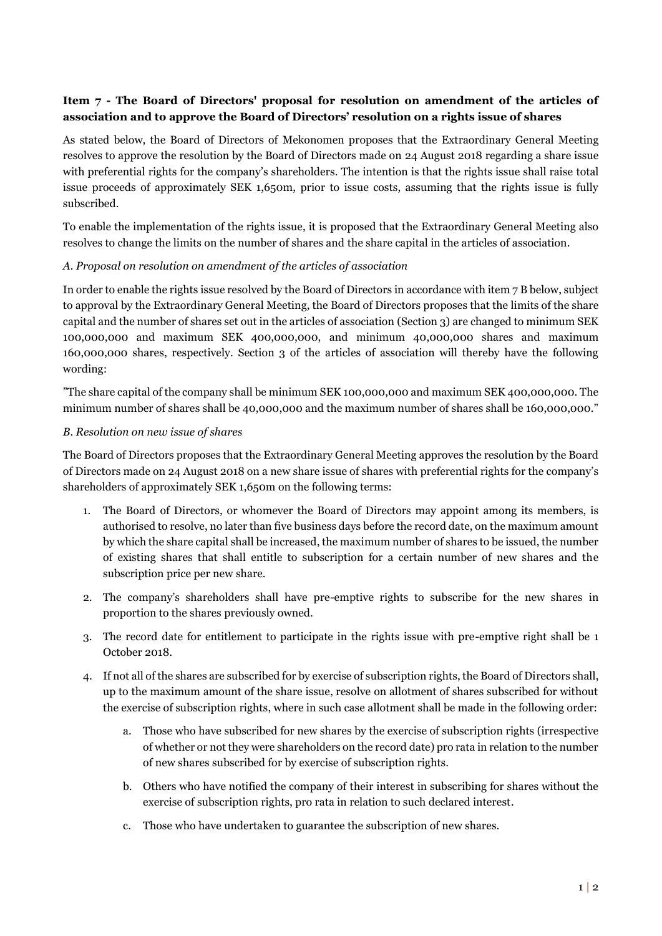# **Item 7 - The Board of Directors' proposal for resolution on amendment of the articles of association and to approve the Board of Directors' resolution on a rights issue of shares**

As stated below, the Board of Directors of Mekonomen proposes that the Extraordinary General Meeting resolves to approve the resolution by the Board of Directors made on 24 August 2018 regarding a share issue with preferential rights for the company's shareholders. The intention is that the rights issue shall raise total issue proceeds of approximately SEK 1,650m, prior to issue costs, assuming that the rights issue is fully subscribed.

To enable the implementation of the rights issue, it is proposed that the Extraordinary General Meeting also resolves to change the limits on the number of shares and the share capital in the articles of association.

### *A. Proposal on resolution on amendment of the articles of association*

In order to enable the rights issue resolved by the Board of Directors in accordance with item 7 B below, subject to approval by the Extraordinary General Meeting, the Board of Directors proposes that the limits of the share capital and the number of shares set out in the articles of association (Section 3) are changed to minimum SEK 100,000,000 and maximum SEK 400,000,000, and minimum 40,000,000 shares and maximum 160,000,000 shares, respectively. Section 3 of the articles of association will thereby have the following wording:

"The share capital of the company shall be minimum SEK 100,000,000 and maximum SEK 400,000,000. The minimum number of shares shall be 40,000,000 and the maximum number of shares shall be 160,000,000."

### *B. Resolution on new issue of shares*

The Board of Directors proposes that the Extraordinary General Meeting approves the resolution by the Board of Directors made on 24 August 2018 on a new share issue of shares with preferential rights for the company's shareholders of approximately SEK 1,650m on the following terms:

- 1. The Board of Directors, or whomever the Board of Directors may appoint among its members, is authorised to resolve, no later than five business days before the record date, on the maximum amount by which the share capital shall be increased, the maximum number of shares to be issued, the number of existing shares that shall entitle to subscription for a certain number of new shares and the subscription price per new share.
- 2. The company's shareholders shall have pre-emptive rights to subscribe for the new shares in proportion to the shares previously owned.
- 3. The record date for entitlement to participate in the rights issue with pre-emptive right shall be 1 October 2018.
- 4. If not all of the shares are subscribed for by exercise of subscription rights, the Board of Directors shall, up to the maximum amount of the share issue, resolve on allotment of shares subscribed for without the exercise of subscription rights, where in such case allotment shall be made in the following order:
	- a. Those who have subscribed for new shares by the exercise of subscription rights (irrespective of whether or not they were shareholders on the record date) pro rata in relation to the number of new shares subscribed for by exercise of subscription rights.
	- b. Others who have notified the company of their interest in subscribing for shares without the exercise of subscription rights, pro rata in relation to such declared interest.
	- c. Those who have undertaken to guarantee the subscription of new shares.